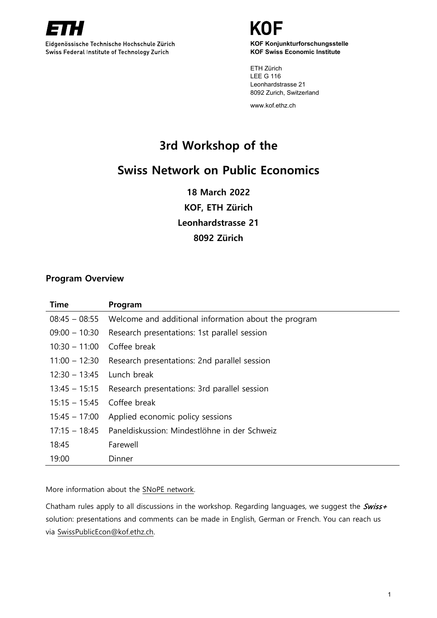

Eidgenössische Technische Hochschule Zürich Swiss Federal Institute of Technology Zurich

**KOF Konjunkturforschungsstelle KOF Swiss Economic Institute**

ETH Zürich LEE G 116 Leonhardstrasse 21 8092 Zurich, Switzerland

www.kof.ethz.ch

# **3rd Workshop of the**

# **Swiss Network on Public Economics**

**18 March 2022 KOF, ETH Zürich Leonhardstrasse 21 8092 Zürich**

## **Program Overview**

| <b>Time</b>     | Program                                                              |
|-----------------|----------------------------------------------------------------------|
|                 | $08:45 - 08:55$ Welcome and additional information about the program |
| $09:00 - 10:30$ | Research presentations: 1st parallel session                         |
| $10:30 - 11:00$ | Coffee break                                                         |
|                 | 11:00 – 12:30 Research presentations: 2nd parallel session           |
| $12:30 - 13:45$ | Lunch break                                                          |
| $13:45 - 15:15$ | Research presentations: 3rd parallel session                         |
| $15:15 - 15:45$ | Coffee break                                                         |
|                 | 15:45 - 17:00 Applied economic policy sessions                       |
|                 | 17:15 – 18:45 Paneldiskussion: Mindestlöhne in der Schweiz           |
| 18:45           | Farewell                                                             |
| 19:00           | Dinner                                                               |

More information about the [SNoPE network.](https://www.unifr.ch/ecopub/en/snope/)

Chatham rules apply to all discussions in the workshop. Regarding languages, we suggest the Swiss+ solution: presentations and comments can be made in English, German or French. You can reach us via [SwissPublicEcon@kof.ethz.ch.](mailto:SwissPublicEcon@kof.ethz.chSwissPublicEcon@kof.ethz.ch)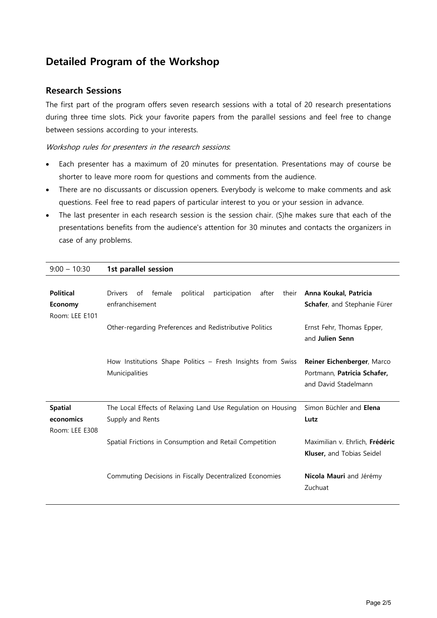# **Detailed Program of the Workshop**

## **Research Sessions**

The first part of the program offers seven research sessions with a total of 20 research presentations during three time slots. Pick your favorite papers from the parallel sessions and feel free to change between sessions according to your interests.

### Workshop rules for presenters in the research sessions:

- Each presenter has a maximum of 20 minutes for presentation. Presentations may of course be shorter to leave more room for questions and comments from the audience.
- There are no discussants or discussion openers. Everybody is welcome to make comments and ask questions. Feel free to read papers of particular interest to you or your session in advance.
- The last presenter in each research session is the session chair. (S)he makes sure that each of the presentations benefits from the audience's attention for 30 minutes and contacts the organizers in case of any problems.

| $9:00 - 10:30$                                | 1st parallel session                                                                                                                                               |
|-----------------------------------------------|--------------------------------------------------------------------------------------------------------------------------------------------------------------------|
| <b>Political</b><br>Economy<br>Room: LEE E101 | <b>Drivers</b><br>political<br>after<br>Anna Koukal, Patricia<br>female<br>participation<br>their<br>of<br>enfranchisement<br>Schafer, and Stephanie Fürer         |
|                                               | Other-regarding Preferences and Redistributive Politics<br>Ernst Fehr, Thomas Epper,<br>and Julien Senn                                                            |
|                                               | How Institutions Shape Politics - Fresh Insights from Swiss<br>Reiner Eichenberger, Marco<br>Municipalities<br>Portmann, Patricia Schafer,<br>and David Stadelmann |
| <b>Spatial</b>                                | Simon Büchler and Elena<br>The Local Effects of Relaxing Land Use Regulation on Housing                                                                            |
| economics<br>Room: LEE E308                   | Supply and Rents<br>Lutz                                                                                                                                           |
|                                               | Spatial Frictions in Consumption and Retail Competition<br>Maximilian v. Ehrlich, Frédéric<br><b>Kluser, and Tobias Seidel</b>                                     |
|                                               | Commuting Decisions in Fiscally Decentralized Economies<br>Nicola Mauri and Jérémy<br>Zuchuat                                                                      |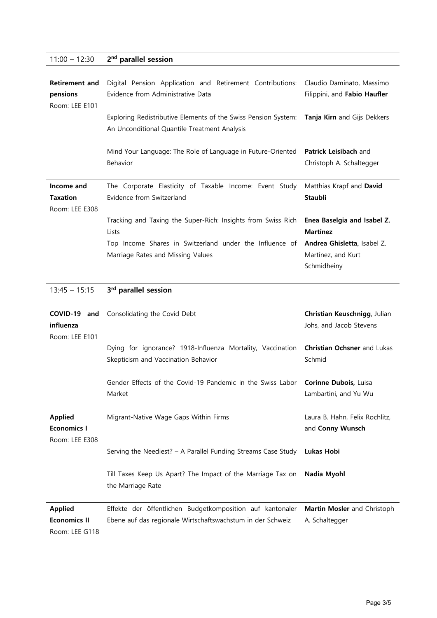## 11:00 – 12:30 **2nd parallel session**

| <b>Retirement and</b><br>pensions<br>Room: LEE E101 | Digital Pension Application and Retirement Contributions:<br>Evidence from Administrative Data                                             | Claudio Daminato, Massimo<br>Filippini, and Fabio Haufler |
|-----------------------------------------------------|--------------------------------------------------------------------------------------------------------------------------------------------|-----------------------------------------------------------|
|                                                     | Exploring Redistributive Elements of the Swiss Pension System: Tanja Kirn and Gijs Dekkers<br>An Unconditional Quantile Treatment Analysis |                                                           |
|                                                     | Mind Your Language: The Role of Language in Future-Oriented<br>Behavior                                                                    | <b>Patrick Leisibach and</b><br>Christoph A. Schaltegger  |
| Income and                                          | The Corporate Elasticity of Taxable Income: Event Study                                                                                    | Matthias Krapf and David                                  |
| <b>Taxation</b>                                     | Evidence from Switzerland                                                                                                                  | <b>Staubli</b>                                            |
| Room: LEE E308                                      |                                                                                                                                            |                                                           |
|                                                     | Tracking and Taxing the Super-Rich: Insights from Swiss Rich                                                                               | Enea Baselgia and Isabel Z.                               |
|                                                     | Lists                                                                                                                                      | <b>Martínez</b>                                           |
|                                                     | Top Income Shares in Switzerland under the Influence of                                                                                    | Andrea Ghisletta, Isabel Z.                               |
|                                                     |                                                                                                                                            |                                                           |

# 13:45 – 15:15 **3rd parallel session**

| COVID-19<br>and<br>influenza<br>Room: LEE E101          | Consolidating the Covid Debt                                                                                            | Christian Keuschnigg, Julian<br>Johs, and Jacob Stevens |
|---------------------------------------------------------|-------------------------------------------------------------------------------------------------------------------------|---------------------------------------------------------|
|                                                         | Dying for ignorance? 1918-Influenza Mortality, Vaccination<br>Skepticism and Vaccination Behavior                       | <b>Christian Ochsner</b> and Lukas<br>Schmid            |
|                                                         | Gender Effects of the Covid-19 Pandemic in the Swiss Labor<br>Market                                                    | Corinne Dubois, Luisa<br>Lambartini, and Yu Wu          |
| <b>Applied</b><br><b>Economics I</b><br>Room: LEE E308  | Migrant-Native Wage Gaps Within Firms                                                                                   | Laura B. Hahn, Felix Rochlitz,<br>and Conny Wunsch      |
|                                                         | Serving the Neediest? - A Parallel Funding Streams Case Study                                                           | Lukas Hobi                                              |
|                                                         | Till Taxes Keep Us Apart? The Impact of the Marriage Tax on<br>the Marriage Rate                                        | Nadia Myohl                                             |
| <b>Applied</b><br><b>Economics II</b><br>Room: LEE G118 | Effekte der öffentlichen Budgetkomposition auf kantonaler<br>Ebene auf das regionale Wirtschaftswachstum in der Schweiz | Martin Mosler and Christoph<br>A. Schaltegger           |

Page 3/5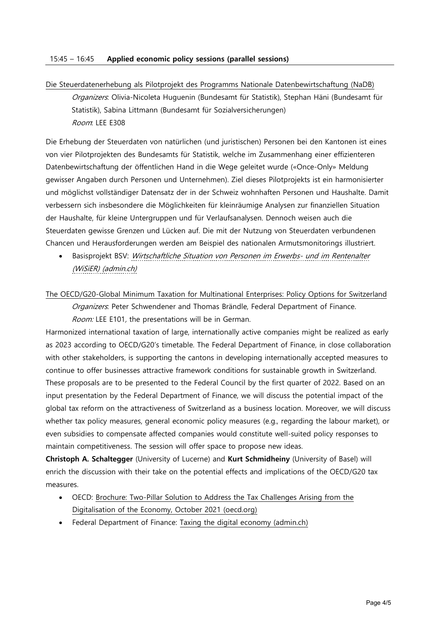Die Steuerdatenerhebung als Pilotprojekt des Programms Nationale Datenbewirtschaftung (NaDB)

Organizers: Olivia-Nicoleta Huguenin (Bundesamt für Statistik), Stephan Häni (Bundesamt für Statistik), Sabina Littmann (Bundesamt für Sozialversicherungen) Room: LEE E308

Die Erhebung der Steuerdaten von natürlichen (und juristischen) Personen bei den Kantonen ist eines von vier Pilotprojekten des Bundesamts für Statistik, welche im Zusammenhang einer effizienteren Datenbewirtschaftung der öffentlichen Hand in die Wege geleitet wurde («Once-Only» Meldung gewisser Angaben durch Personen und Unternehmen). Ziel dieses Pilotprojekts ist ein harmonisierter und möglichst vollständiger Datensatz der in der Schweiz wohnhaften Personen und Haushalte. Damit verbessern sich insbesondere die Möglichkeiten für kleinräumige Analysen zur finanziellen Situation der Haushalte, für kleine Untergruppen und für Verlaufsanalysen. Dennoch weisen auch die Steuerdaten gewisse Grenzen und Lücken auf. Die mit der Nutzung von Steuerdaten verbundenen Chancen und Herausforderungen werden am Beispiel des nationalen Armutsmonitorings illustriert.

Basisprojekt BSV: [Wirtschaftliche Situation von Personen im Erwerbs-](https://www.bsv.admin.ch/bsv/de/home/publikationen-und-service/forschung/forschungsbereiche/WiSiER.html) und im Rentenalter [\(WiSiER\) \(admin.ch\)](https://www.bsv.admin.ch/bsv/de/home/publikationen-und-service/forschung/forschungsbereiche/WiSiER.html)

The OECD/G20-Global Minimum Taxation for Multinational Enterprises: Policy Options for Switzerland

Organizers: Peter Schwendener and Thomas Brändle, Federal Department of Finance. Room: LEE E101, the presentations will be in German.

Harmonized international taxation of large, internationally active companies might be realized as early as 2023 according to OECD/G20's timetable. The Federal Department of Finance, in close collaboration with other stakeholders, is supporting the cantons in developing internationally accepted measures to continue to offer businesses attractive framework conditions for sustainable growth in Switzerland. These proposals are to be presented to the Federal Council by the first quarter of 2022. Based on an input presentation by the Federal Department of Finance, we will discuss the potential impact of the global tax reform on the attractiveness of Switzerland as a business location. Moreover, we will discuss whether tax policy measures, general economic policy measures (e.g., regarding the labour market), or even subsidies to compensate affected companies would constitute well-suited policy responses to maintain competitiveness. The session will offer space to propose new ideas.

**Christoph A. Schaltegger** (University of Lucerne) and **Kurt Schmidheiny** (University of Basel) will enrich the discussion with their take on the potential effects and implications of the OECD/G20 tax measures.

- OECD: [Brochure: Two-Pillar Solution to Address the Tax Challenges Arising from the](https://www.oecd.org/tax/beps/brochure-two-pillar-solution-to-address-the-tax-challenges-arising-from-the-digitalisation-of-the-economy-october-2021.pdf)  [Digitalisation of the Economy, October 2021 \(oecd.org\)](https://www.oecd.org/tax/beps/brochure-two-pillar-solution-to-address-the-tax-challenges-arising-from-the-digitalisation-of-the-economy-october-2021.pdf)
- Federal Department of Finance: [Taxing the digital economy \(admin.ch\)](https://www.sif.admin.ch/sif/en/home/finanzmarktpolitik/digit_finanzsektor/best_digit_wirtschaft.html)